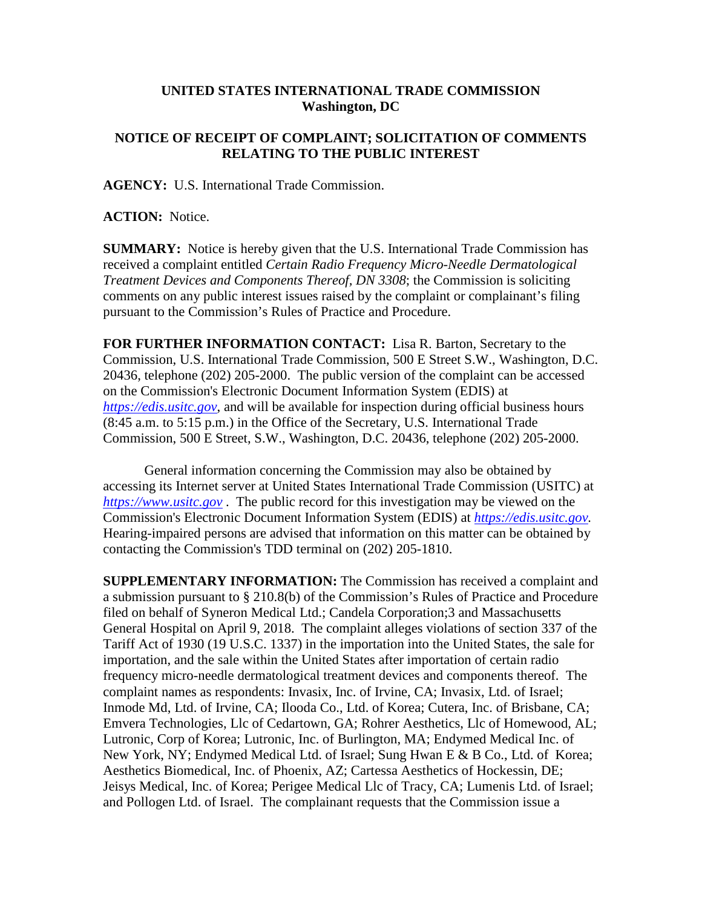## **UNITED STATES INTERNATIONAL TRADE COMMISSION Washington, DC**

## **NOTICE OF RECEIPT OF COMPLAINT; SOLICITATION OF COMMENTS RELATING TO THE PUBLIC INTEREST**

**AGENCY:** U.S. International Trade Commission.

**ACTION:** Notice.

**SUMMARY:** Notice is hereby given that the U.S. International Trade Commission has received a complaint entitled *Certain Radio Frequency Micro-Needle Dermatological Treatment Devices and Components Thereof, DN 3308*; the Commission is soliciting comments on any public interest issues raised by the complaint or complainant's filing pursuant to the Commission's Rules of Practice and Procedure.

**FOR FURTHER INFORMATION CONTACT:** Lisa R. Barton, Secretary to the Commission, U.S. International Trade Commission, 500 E Street S.W., Washington, D.C. 20436, telephone (202) 205-2000. The public version of the complaint can be accessed on the Commission's Electronic Document Information System (EDIS) at *[https://edis.usitc.gov](https://edis.usitc.gov/)*, and will be available for inspection during official business hours (8:45 a.m. to 5:15 p.m.) in the Office of the Secretary, U.S. International Trade Commission, 500 E Street, S.W., Washington, D.C. 20436, telephone (202) 205-2000.

General information concerning the Commission may also be obtained by accessing its Internet server at United States International Trade Commission (USITC) at *[https://www.usitc.gov](https://www.usitc.gov/)* . The public record for this investigation may be viewed on the Commission's Electronic Document Information System (EDIS) at *[https://edis.usitc.gov.](https://edis.usitc.gov/)* Hearing-impaired persons are advised that information on this matter can be obtained by contacting the Commission's TDD terminal on (202) 205-1810.

**SUPPLEMENTARY INFORMATION:** The Commission has received a complaint and a submission pursuant to § 210.8(b) of the Commission's Rules of Practice and Procedure filed on behalf of Syneron Medical Ltd.; Candela Corporation;3 and Massachusetts General Hospital on April 9, 2018. The complaint alleges violations of section 337 of the Tariff Act of 1930 (19 U.S.C. 1337) in the importation into the United States, the sale for importation, and the sale within the United States after importation of certain radio frequency micro-needle dermatological treatment devices and components thereof. The complaint names as respondents: Invasix, Inc. of Irvine, CA; Invasix, Ltd. of Israel; Inmode Md, Ltd. of Irvine, CA; Ilooda Co., Ltd. of Korea; Cutera, Inc. of Brisbane, CA; Emvera Technologies, Llc of Cedartown, GA; Rohrer Aesthetics, Llc of Homewood, AL; Lutronic, Corp of Korea; Lutronic, Inc. of Burlington, MA; Endymed Medical Inc. of New York, NY; Endymed Medical Ltd. of Israel; Sung Hwan E & B Co., Ltd. of Korea; Aesthetics Biomedical, Inc. of Phoenix, AZ; Cartessa Aesthetics of Hockessin, DE; Jeisys Medical, Inc. of Korea; Perigee Medical Llc of Tracy, CA; Lumenis Ltd. of Israel; and Pollogen Ltd. of Israel. The complainant requests that the Commission issue a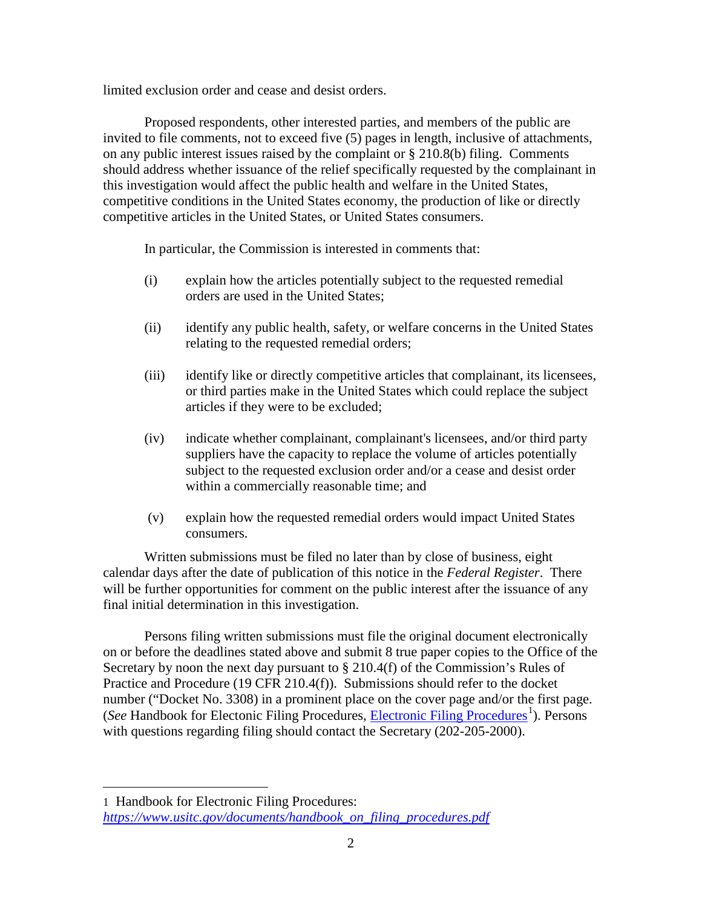limited exclusion order and cease and desist orders.

Proposed respondents, other interested parties, and members of the public are invited to file comments, not to exceed five (5) pages in length, inclusive of attachments, on any public interest issues raised by the complaint or § 210.8(b) filing. Comments should address whether issuance of the relief specifically requested by the complainant in this investigation would affect the public health and welfare in the United States, competitive conditions in the United States economy, the production of like or directly competitive articles in the United States, or United States consumers.

In particular, the Commission is interested in comments that:

- (i) explain how the articles potentially subject to the requested remedial orders are used in the United States;
- (ii) identify any public health, safety, or welfare concerns in the United States relating to the requested remedial orders;
- (iii) identify like or directly competitive articles that complainant, its licensees, or third parties make in the United States which could replace the subject articles if they were to be excluded;
- (iv) indicate whether complainant, complainant's licensees, and/or third party suppliers have the capacity to replace the volume of articles potentially subject to the requested exclusion order and/or a cease and desist order within a commercially reasonable time; and
- (v) explain how the requested remedial orders would impact United States consumers.

Written submissions must be filed no later than by close of business, eight calendar days after the date of publication of this notice in the *Federal Register*. There will be further opportunities for comment on the public interest after the issuance of any final initial determination in this investigation.

Persons filing written submissions must file the original document electronically on or before the deadlines stated above and submit 8 true paper copies to the Office of the Secretary by noon the next day pursuant to  $\S 210.4(f)$  of the Commission's Rules of Practice and Procedure (19 CFR 210.4(f)). Submissions should refer to the docket number ("Docket No. 3308) in a prominent place on the cover page and/or the first page. (See Handbook for Electonic Filing Procedures, *Electronic Filing Procedures*<sup>[1](#page-1-0)</sup>). Persons with questions regarding filing should contact the Secretary (202-205-2000).

 $\overline{a}$ 

<span id="page-1-0"></span><sup>1</sup> Handbook for Electronic Filing Procedures: *[https://www.usitc.gov/documents/handbook\\_on\\_filing\\_procedures.pdf](https://www.usitc.gov/documents/handbook_on_filing_procedures.pdf)*